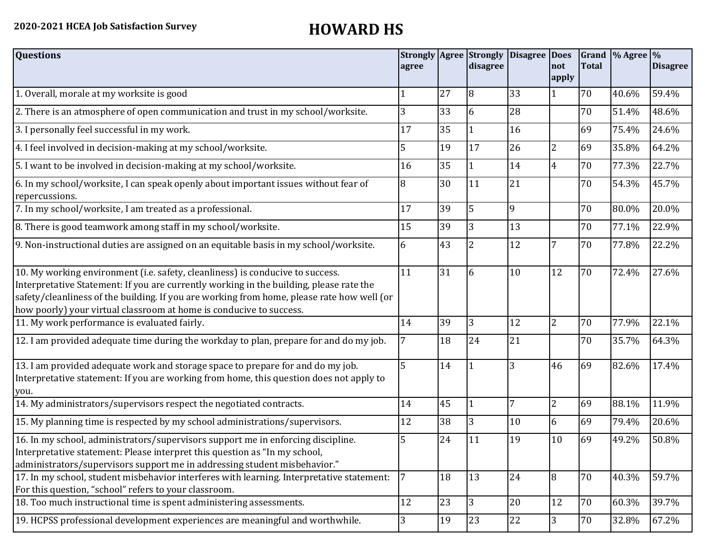| <b>Questions</b>                                                                                                                                                                                                                                                                                                                               | agree |    | <b>Strongly Agree Strongly</b><br>disagree | <b>Disagree Does</b> | Inot<br>apply  | <b>Total</b> | Grand $\frac{9}{6}$ Agree $\frac{9}{6}$ | <b>Disagree</b> |
|------------------------------------------------------------------------------------------------------------------------------------------------------------------------------------------------------------------------------------------------------------------------------------------------------------------------------------------------|-------|----|--------------------------------------------|----------------------|----------------|--------------|-----------------------------------------|-----------------|
| 1. Overall, morale at my worksite is good                                                                                                                                                                                                                                                                                                      |       | 27 | 8                                          | 33                   | $\mathbf{1}$   | 70           | 40.6%                                   | 59.4%           |
| 2. There is an atmosphere of open communication and trust in my school/worksite.                                                                                                                                                                                                                                                               | 3     | 33 | 6                                          | 28                   |                | 70           | 51.4%                                   | 48.6%           |
| 3. I personally feel successful in my work.                                                                                                                                                                                                                                                                                                    | 17    | 35 |                                            | 16                   |                | 69           | 75.4%                                   | 24.6%           |
| 4. I feel involved in decision-making at my school/worksite.                                                                                                                                                                                                                                                                                   | 5     | 19 | 17                                         | 26                   | $\overline{2}$ | 69           | 35.8%                                   | 64.2%           |
| 5. I want to be involved in decision-making at my school/worksite.                                                                                                                                                                                                                                                                             | 16    | 35 | $\vert$ 1                                  | 14                   | $\overline{4}$ | 70           | 77.3%                                   | 22.7%           |
| 6. In my school/worksite, I can speak openly about important issues without fear of<br>repercussions.                                                                                                                                                                                                                                          | 8     | 30 | 11                                         | 21                   |                | 70           | 54.3%                                   | 45.7%           |
| 7. In my school/worksite, I am treated as a professional.                                                                                                                                                                                                                                                                                      | 17    | 39 | 5                                          | 9                    |                | 70           | 80.0%                                   | 20.0%           |
| 8. There is good teamwork among staff in my school/worksite.                                                                                                                                                                                                                                                                                   | 15    | 39 | $\overline{3}$                             | 13                   |                | 70           | 77.1%                                   | 22.9%           |
| 9. Non-instructional duties are assigned on an equitable basis in my school/worksite.                                                                                                                                                                                                                                                          | 6     | 43 | $\overline{2}$                             | 12                   | 7              | 70           | 77.8%                                   | 22.2%           |
| 10. My working environment (i.e. safety, cleanliness) is conducive to success.<br>Interpretative Statement: If you are currently working in the building, please rate the<br>safety/cleanliness of the building. If you are working from home, please rate how well (or<br>how poorly) your virtual classroom at home is conducive to success. | 11    | 31 | 6                                          | 10                   | 12             | 70           | 72.4%                                   | 27.6%           |
| 11. My work performance is evaluated fairly.                                                                                                                                                                                                                                                                                                   | 14    | 39 | 3                                          | 12                   | $\overline{2}$ | 70           | 77.9%                                   | 22.1%           |
| 12. I am provided adequate time during the workday to plan, prepare for and do my job.                                                                                                                                                                                                                                                         |       | 18 | 24                                         | 21                   |                | 70           | 35.7%                                   | 64.3%           |
| 13. I am provided adequate work and storage space to prepare for and do my job.<br>Interpretative statement: If you are working from home, this question does not apply to<br>you.                                                                                                                                                             | 5     | 14 |                                            | 3                    | 46             | 69           | 82.6%                                   | 17.4%           |
| 14. My administrators/supervisors respect the negotiated contracts.                                                                                                                                                                                                                                                                            | 14    | 45 |                                            |                      | $\overline{2}$ | 69           | 88.1%                                   | 11.9%           |
| 15. My planning time is respected by my school administrations/supervisors.                                                                                                                                                                                                                                                                    | 12    | 38 | $\overline{3}$                             | 10                   | 6              | 69           | 79.4%                                   | 20.6%           |
| 16. In my school, administrators/supervisors support me in enforcing discipline.<br>Interpretative statement: Please interpret this question as "In my school,<br>administrators/supervisors support me in addressing student misbehavior."                                                                                                    | 5     | 24 | 11                                         | 19                   | 10             | 69           | 49.2%                                   | 50.8%           |
| 17. In my school, student misbehavior interferes with learning. Interpretative statement:<br>For this question, "school" refers to your classroom.                                                                                                                                                                                             | 7     | 18 | 13                                         | 24                   | 8              | 70           | 40.3%                                   | 59.7%           |
| 18. Too much instructional time is spent administering assessments.                                                                                                                                                                                                                                                                            | 12    | 23 | 13                                         | 20                   | <sup>12</sup>  | 70           | 60.3%                                   | 39.7%           |
| 19. HCPSS professional development experiences are meaningful and worthwhile.                                                                                                                                                                                                                                                                  | 3     | 19 | 23                                         | 22                   | 3              | 70           | 32.8%                                   | 67.2%           |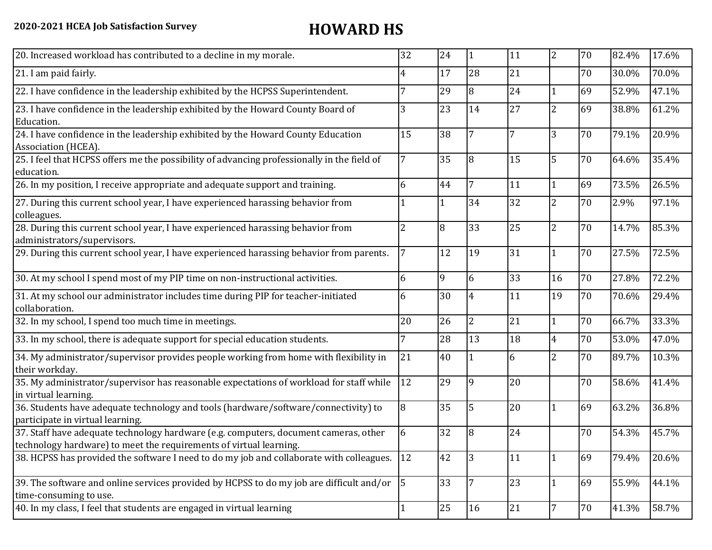| 20. Increased workload has contributed to a decline in my morale.                                                                                          | 32        | 24 | 11             | 11 | $\overline{2}$ | 70 | 82.4% | 17.6% |
|------------------------------------------------------------------------------------------------------------------------------------------------------------|-----------|----|----------------|----|----------------|----|-------|-------|
| 21. I am paid fairly.                                                                                                                                      | 4         | 17 | 28             | 21 |                | 70 | 30.0% | 70.0% |
| 22. I have confidence in the leadership exhibited by the HCPSS Superintendent.                                                                             | 7         | 29 | $\overline{8}$ | 24 | $\mathbf{1}$   | 69 | 52.9% | 47.1% |
| 23. I have confidence in the leadership exhibited by the Howard County Board of<br>Education.                                                              | 3         | 23 | 14             | 27 | $\overline{2}$ | 69 | 38.8% | 61.2% |
| 24. I have confidence in the leadership exhibited by the Howard County Education<br>Association (HCEA).                                                    | 15        | 38 | 7              | 7  | 3              | 70 | 79.1% | 20.9% |
| 25. I feel that HCPSS offers me the possibility of advancing professionally in the field of<br>education.                                                  | 7         | 35 | 8              | 15 | 5              | 70 | 64.6% | 35.4% |
| 26. In my position, I receive appropriate and adequate support and training.                                                                               | 6         | 44 | $\overline{7}$ | 11 | $\mathbf{1}$   | 69 | 73.5% | 26.5% |
| 27. During this current school year, I have experienced harassing behavior from<br>colleagues.                                                             |           |    | 34             | 32 | $\overline{c}$ | 70 | 2.9%  | 97.1% |
| 28. During this current school year, I have experienced harassing behavior from<br>administrators/supervisors.                                             | 2         | 8  | 33             | 25 | 2              | 70 | 14.7% | 85.3% |
| 29. During this current school year, I have experienced harassing behavior from parents.                                                                   | 7         | 12 | 19             | 31 | $\mathbf{1}$   | 70 | 27.5% | 72.5% |
| 30. At my school I spend most of my PIP time on non-instructional activities.                                                                              | 6         | 9  | 6              | 33 | 16             | 70 | 27.8% | 72.2% |
| 31. At my school our administrator includes time during PIP for teacher-initiated<br>collaboration.                                                        | 6         | 30 | 4              | 11 | 19             | 70 | 70.6% | 29.4% |
| 32. In my school, I spend too much time in meetings.                                                                                                       | 20        | 26 | $\overline{2}$ | 21 | $\mathbf{1}$   | 70 | 66.7% | 33.3% |
| 33. In my school, there is adequate support for special education students.                                                                                | 7         | 28 | 13             | 18 | $\overline{4}$ | 70 | 53.0% | 47.0% |
| 34. My administrator/supervisor provides people working from home with flexibility in<br>their workday.                                                    | 21        | 40 |                | 6  | $\overline{2}$ | 70 | 89.7% | 10.3% |
| 35. My administrator/supervisor has reasonable expectations of workload for staff while<br>in virtual learning.                                            | 12        | 29 | 9              | 20 |                | 70 | 58.6% | 41.4% |
| 36. Students have adequate technology and tools (hardware/software/connectivity) to<br>participate in virtual learning.                                    | 8         | 35 | 5              | 20 | $\mathbf{1}$   | 69 | 63.2% | 36.8% |
| 37. Staff have adequate technology hardware (e.g. computers, document cameras, other<br>technology hardware) to meet the requirements of virtual learning. | 6         | 32 | 8              | 24 |                | 70 | 54.3% | 45.7% |
| 38. HCPSS has provided the software I need to do my job and collaborate with colleagues.                                                                   | <b>12</b> | 42 | 3              | 11 | 1              | 69 | 79.4% | 20.6% |
| 39. The software and online services provided by HCPSS to do my job are difficult and/or $\vert$ 5<br>time-consuming to use.                               |           | 33 | 17             | 23 | $\mathbf{1}$   | 69 | 55.9% | 44.1% |
| 40. In my class, I feel that students are engaged in virtual learning                                                                                      |           | 25 | 16             | 21 | 7              | 70 | 41.3% | 58.7% |